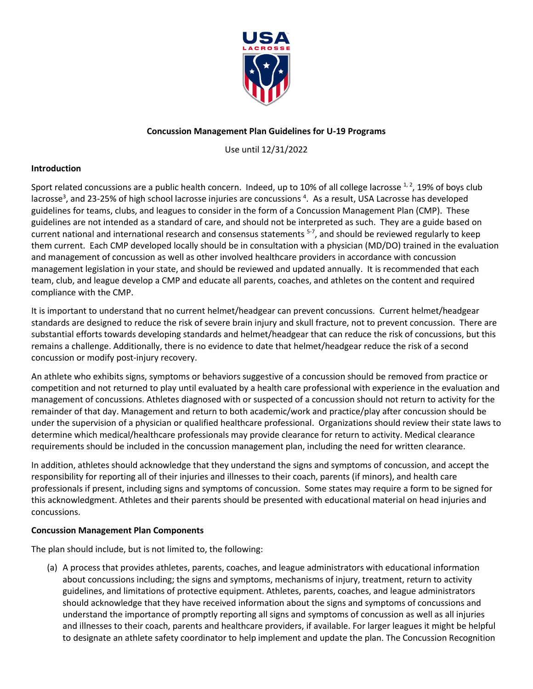

## **Concussion Management Plan Guidelines for U-19 Programs**

Use until 12/31/2022

## **Introduction**

Sport related concussions are a public health concern. Indeed, up to 10% of all college lacrosse  $^{1, 2}$  $^{1, 2}$  $^{1, 2}$  $^{1, 2}$ , 19% of boys club lacrosse<sup>3</sup>[,](#page-4-2) and 23-25% of high school lacrosse injuries are concussions <sup>[4](#page-4-3)</sup>. As a result, USA Lacrosse has developed guidelines for teams, clubs, and leagues to consider in the form of a Concussion Management Plan (CMP). These guidelines are not intended as a standard of care, and should not be interpreted as such. They are a guide based on current national and international research and consensus statements <sup>[5-7](#page-4-4)</sup>, and should be reviewed regularly to keep them current. Each CMP developed locally should be in consultation with a physician (MD/DO) trained in the evaluation and management of concussion as well as other involved healthcare providers in accordance with concussion management legislation in your state, and should be reviewed and updated annually. It is recommended that each team, club, and league develop a CMP and educate all parents, coaches, and athletes on the content and required compliance with the CMP.

It is important to understand that no current helmet/headgear can prevent concussions. Current helmet/headgear standards are designed to reduce the risk of severe brain injury and skull fracture, not to prevent concussion. There are substantial efforts towards developing standards and helmet/headgear that can reduce the risk of concussions, but this remains a challenge. Additionally, there is no evidence to date that helmet/headgear reduce the risk of a second concussion or modify post-injury recovery.

An athlete who exhibits signs, symptoms or behaviors suggestive of a concussion should be removed from practice or competition and not returned to play until evaluated by a health care professional with experience in the evaluation and management of concussions. Athletes diagnosed with or suspected of a concussion should not return to activity for the remainder of that day. Management and return to both academic/work and practice/play after concussion should be under the supervision of a physician or qualified healthcare professional. Organizations should review their state laws to determine which medical/healthcare professionals may provide clearance for return to activity. Medical clearance requirements should be included in the concussion management plan, including the need for written clearance.

In addition, athletes should acknowledge that they understand the signs and symptoms of concussion, and accept the responsibility for reporting all of their injuries and illnesses to their coach, parents (if minors), and health care professionals if present, including signs and symptoms of concussion. Some states may require a form to be signed for this acknowledgment. Athletes and their parents should be presented with educational material on head injuries and concussions.

#### **Concussion Management Plan Components**

The plan should include, but is not limited to, the following:

(a) A process that provides athletes, parents, coaches, and league administrators with educational information about concussions including; the signs and symptoms, mechanisms of injury, treatment, return to activity guidelines, and limitations of protective equipment. Athletes, parents, coaches, and league administrators should acknowledge that they have received information about the signs and symptoms of concussions and understand the importance of promptly reporting all signs and symptoms of concussion as well as all injuries and illnesses to their coach, parents and healthcare providers, if available. For larger leagues it might be helpful to designate an athlete safety coordinator to help implement and update the plan. The Concussion Recognition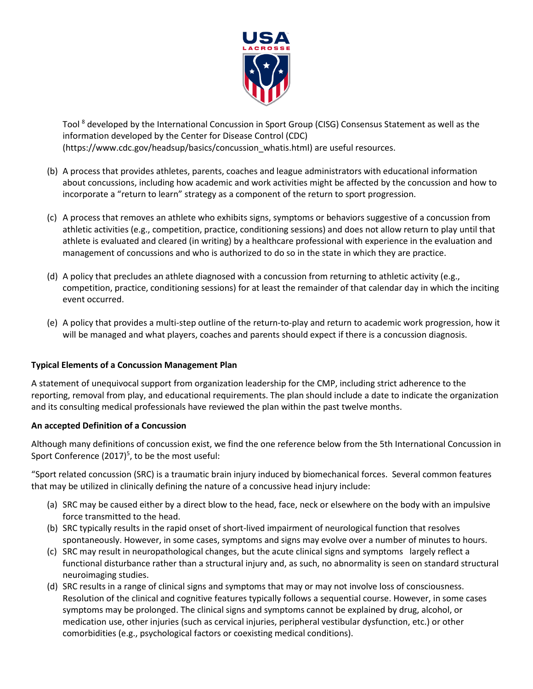

Tool <sup>[8](#page-4-5)</sup> developed by the International Concussion in Sport Group (CISG) Consensus Statement as well as the information developed by the Center for Disease Control (CDC) (https://www.cdc.gov/headsup/basics/concussion\_whatis.html) are useful resources.

- (b) A process that provides athletes, parents, coaches and league administrators with educational information about concussions, including how academic and work activities might be affected by the concussion and how to incorporate a "return to learn" strategy as a component of the return to sport progression.
- (c) A process that removes an athlete who exhibits signs, symptoms or behaviors suggestive of a concussion from athletic activities (e.g., competition, practice, conditioning sessions) and does not allow return to play until that athlete is evaluated and cleared (in writing) by a healthcare professional with experience in the evaluation and management of concussions and who is authorized to do so in the state in which they are practice.
- (d) A policy that precludes an athlete diagnosed with a concussion from returning to athletic activity (e.g., competition, practice, conditioning sessions) for at least the remainder of that calendar day in which the inciting event occurred.
- (e) A policy that provides a multi-step outline of the return-to-play and return to academic work progression, how it will be managed and what players, coaches and parents should expect if there is a concussion diagnosis.

## **Typical Elements of a Concussion Management Plan**

A statement of unequivocal support from organization leadership for the CMP, including strict adherence to the reporting, removal from play, and educational requirements. The plan should include a date to indicate the organization and its consulting medical professionals have reviewed the plan within the past twelve months.

#### **An accepted Definition of a Concussion**

Although many definitions of concussion exist, we find the one reference below from the 5th International Concussion in Sport Conference (2017[\)](#page-4-4)<sup>5</sup>, to be the most useful:

"Sport related concussion (SRC) is a traumatic brain injury induced by biomechanical forces. Several common features that may be utilized in clinically defining the nature of a concussive head injury include:

- (a) SRC may be caused either by a direct blow to the head, face, neck or elsewhere on the body with an impulsive force transmitted to the head.
- (b) SRC typically results in the rapid onset of short-lived impairment of neurological function that resolves spontaneously. However, in some cases, symptoms and signs may evolve over a number of minutes to hours.
- (c) SRC may result in neuropathological changes, but the acute clinical signs and symptoms largely reflect a functional disturbance rather than a structural injury and, as such, no abnormality is seen on standard structural neuroimaging studies.
- (d) SRC results in a range of clinical signs and symptoms that may or may not involve loss of consciousness. Resolution of the clinical and cognitive features typically follows a sequential course. However, in some cases symptoms may be prolonged. The clinical signs and symptoms cannot be explained by drug, alcohol, or medication use, other injuries (such as cervical injuries, peripheral vestibular dysfunction, etc.) or other comorbidities (e.g., psychological factors or coexisting medical conditions).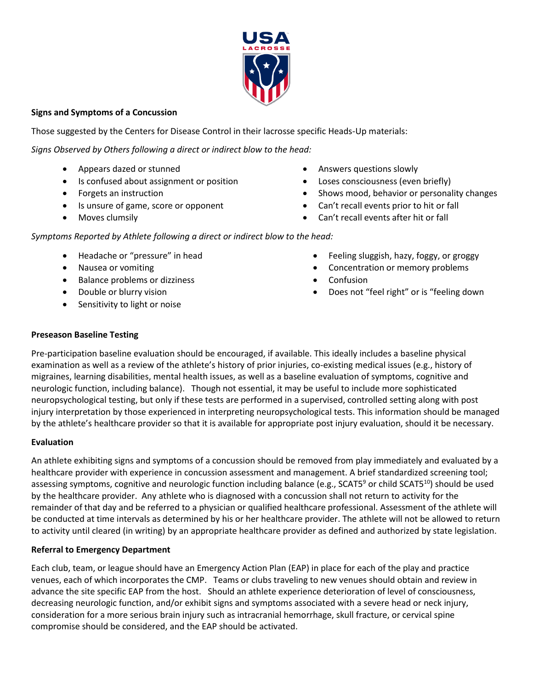

# **Signs and Symptoms of a Concussion**

Those suggested by the Centers for Disease Control in their lacrosse specific Heads-Up materials:

*Signs Observed by Others following a direct or indirect blow to the head:*

- Appears dazed or stunned
- Is confused about assignment or position
- Forgets an instruction
- Is unsure of game, score or opponent
- Moves clumsily
- Answers questions slowly
- Loses consciousness (even briefly)
- Shows mood, behavior or personality changes
- Can't recall events prior to hit or fall
- Can't recall events after hit or fall

*Symptoms Reported by Athlete following a direct or indirect blow to the head:*

- Headache or "pressure" in head
- Nausea or vomiting
- Balance problems or dizziness
- Double or blurry vision
- Sensitivity to light or noise
- Feeling sluggish, hazy, foggy, or groggy
- Concentration or memory problems
- Confusion
- Does not "feel right" or is "feeling down

# **Preseason Baseline Testing**

Pre-participation baseline evaluation should be encouraged, if available. This ideally includes a baseline physical examination as well as a review of the athlete's history of prior injuries, co-existing medical issues (e.g., history of migraines, learning disabilities, mental health issues, as well as a baseline evaluation of symptoms, cognitive and neurologic function, including balance). Though not essential, it may be useful to include more sophisticated neuropsychological testing, but only if these tests are performed in a supervised, controlled setting along with post injury interpretation by those experienced in interpreting neuropsychological tests. This information should be managed by the athlete's healthcare provider so that it is available for appropriate post injury evaluation, should it be necessary.

## **Evaluation**

An athlete exhibiting signs and symptoms of a concussion should be removed from play immediately and evaluated by a healthcare provider with experience in concussion assessment and management. A brief standardized screening tool; assessing symptoms, cognitive and neurologic function including balance (e.g., SCAT5<sup>[9](#page-4-6)</sup> or child SCAT5<sup>[10](#page-4-7)</sup>) should be used by the healthcare provider. Any athlete who is diagnosed with a concussion shall not return to activity for the remainder of that day and be referred to a physician or qualified healthcare professional. Assessment of the athlete will be conducted at time intervals as determined by his or her healthcare provider. The athlete will not be allowed to return to activity until cleared (in writing) by an appropriate healthcare provider as defined and authorized by state legislation.

## **Referral to Emergency Department**

Each club, team, or league should have an Emergency Action Plan (EAP) in place for each of the play and practice venues, each of which incorporates the CMP. Teams or clubs traveling to new venues should obtain and review in advance the site specific EAP from the host. Should an athlete experience deterioration of level of consciousness, decreasing neurologic function, and/or exhibit signs and symptoms associated with a severe head or neck injury, consideration for a more serious brain injury such as intracranial hemorrhage, skull fracture, or cervical spine compromise should be considered, and the EAP should be activated.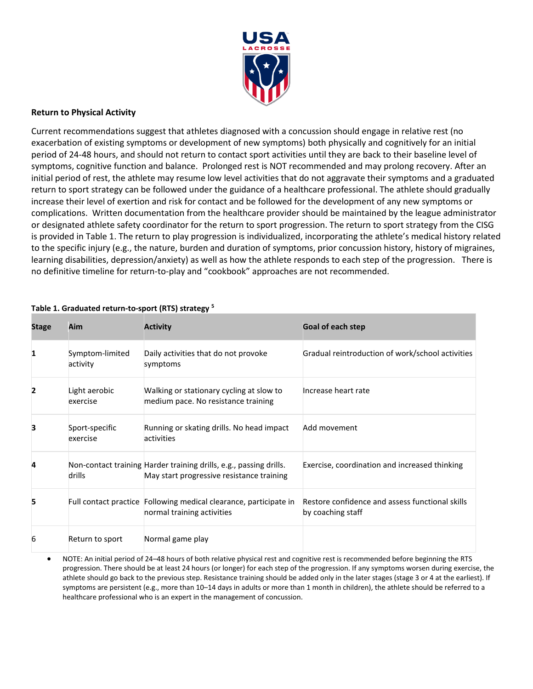

#### **Return to Physical Activity**

Current recommendations suggest that athletes diagnosed with a concussion should engage in relative rest (no exacerbation of existing symptoms or development of new symptoms) both physically and cognitively for an initial period of 24-48 hours, and should not return to contact sport activities until they are back to their baseline level of symptoms, cognitive function and balance. Prolonged rest is NOT recommended and may prolong recovery. After an initial period of rest, the athlete may resume low level activities that do not aggravate their symptoms and a graduated return to sport strategy can be followed under the guidance of a healthcare professional. The athlete should gradually increase their level of exertion and risk for contact and be followed for the development of any new symptoms or complications. Written documentation from the healthcare provider should be maintained by the league administrator or designated athlete safety coordinator for the return to sport progression. The return to sport strategy from the CISG is provided in Table 1. The return to play progression is individualized, incorporating the athlete's medical history related to the specific injury (e.g., the nature, burden and duration of symptoms, prior concussion history, history of migraines, learning disabilities, depression/anxiety) as well as how the athlete responds to each step of the progression. There is no definitive timeline for return-to-play and "cookbook" approaches are not recommended.

| <b>Stage</b>   | Aim                         | <b>Activity</b>                                                                                                 | <b>Goal of each step</b>                                             |
|----------------|-----------------------------|-----------------------------------------------------------------------------------------------------------------|----------------------------------------------------------------------|
| 1              | Symptom-limited<br>activity | Daily activities that do not provoke<br>symptoms                                                                | Gradual reintroduction of work/school activities                     |
| $\overline{2}$ | Light aerobic<br>exercise   | Walking or stationary cycling at slow to<br>medium pace. No resistance training                                 | Increase heart rate                                                  |
| 3              | Sport-specific<br>exercise  | Running or skating drills. No head impact<br>activities                                                         | Add movement                                                         |
| 4              | drills                      | Non-contact training Harder training drills, e.g., passing drills.<br>May start progressive resistance training | Exercise, coordination and increased thinking                        |
| 5              |                             | Full contact practice Following medical clearance, participate in<br>normal training activities                 | Restore confidence and assess functional skills<br>by coaching staff |
| 6              | Return to sport             | Normal game play                                                                                                |                                                                      |

## **Table 1. Graduated return-to-sport (RTS) strategy [5](#page-4-4)**

• NOTE: An initial period of 24–48 hours of both relative physical rest and cognitive rest is recommended before beginning the RTS progression. There should be at least 24 hours (or longer) for each step of the progression. If any symptoms worsen during exercise, the athlete should go back to the previous step. Resistance training should be added only in the later stages (stage 3 or 4 at the earliest). If symptoms are persistent (e.g., more than 10–14 days in adults or more than 1 month in children), the athlete should be referred to a healthcare professional who is an expert in the management of concussion.